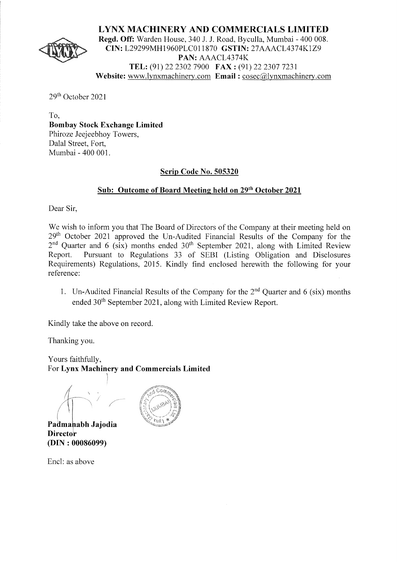

**LYNX MACHINERY AND COMMERCIALS LIMITED Regd. Off:** Warden House, 340 J. J. Road, Byculla, Mumbai - 400 008. **CIN:** L29299MH1960PLC011870 **GSTIN:** 27AAACL4374K1Z9 **PAN:** AAACL4374K **TEL:** (91) 22 2302 7900 **FAX:** (91) 22 2307 7231 **Website:** www.lynxmachinery.com **Email:** cosec@lynxmachinery.com

29th October 2021

To, **Bombay Stock Exchange Limited**  Phiroze Jeejeebhoy Towers, Dalal Street, Fort, Mumbai - 400 001.

# **Scrip Code No. 505320**

# **Sub: Outcome of Board Meeting held on 29th October 2021**

Dear Sir,

We wish to inform you that The Board of Directors of the Company at their meeting held on 29<sup>th</sup> October 2021 approved the Un-Audited Financial Results of the Company for the  $2<sup>nd</sup>$  Quarter and 6 (six) months ended  $30<sup>th</sup>$  September 2021, along with Limited Review Report. Pursuant to Regulations 33 of SEBI (Listing Obligation and Disclosures Requirements) Regulations, 2015. Kindly find enclosed herewith the following for your reference:

1. Un-Audited Financial Results of the Company for the  $2<sup>nd</sup>$  Quarter and 6 (six) months ended 30<sup>th</sup> September 2021, along with Limited Review Report.

Kindly take the above on record.

Thanking you.

Yours faithfully, For **Lynx Machinery and Commercials Limited** 

l  $\leftarrow$ 

Padmahabh Jajodia **Director (DIN: 00086099)** 



Encl: as above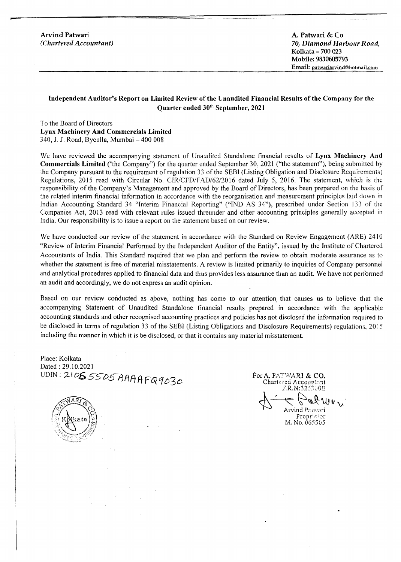Arvind Patwari *(Chartered Accountant)* 

A. Patwari & Co *70, Diamond Harbour Road,*  Kolkata - 700 023 Mobile: 9830605793 Email: patwariaryind@hotmaii.com

## **Independent Auditor's Report on Limited Review of the Unaudited Financial Results of the Company for the Quarter ended 30<sup>th</sup> September, 2021**

To the Board of Directors **Lynx Machinery And Commercials Limited**  340, J. J. Road, Byculla, Mumbai - 400 008

We have reviewed the accompanying statement of Unaudited Standalone financial results of **Lynx Machinery And Commercials Limited** ('the Company") for the quarter ended September 30, 2021 ("the statement"), being submitted by the Company pursuant to the requirement of regulation 33 of the SEBI (Listing Obligation and Disclosure Requirements) Regulations, 2015 read with Circular No. CIR/CFD/FAD/62/2016 dated July 5, 2016. The statement, which is the responsibility of the Company's Management and approved by the Board of Directors, has been prepared on the basis of the related interim financial information in accordance with the reorganisation and measurement principles laid down in Indian Accounting Standard 34 "Interim Financial Reporting" ("IND AS 34"), prescribed under Section 133 of the Companies Act, 2013 read with relevant rules issued threunder and other accounting principles generally accepted in India. Our responsibility is to issue a report on the statement based on our review.

We have conducted our review of the statement in accordance with the Standard on Review Engagement (ARE) 2410 "Review of Interim Financial Performed by the Independent Auditor of the Entity", issued by the Institute of Chartered Accountants of India. This Standard required that we plan and perform the review to obtain moderate assurance as to whether the statement is free of material misstatements. A review is limited primarily to inquiries of Company personnel and analytical procedures applied to financial data and thus provides less assurance than an audit. We have not performed an audit and accordingly, we do not express an audit opinion.

Based on our review conducted as above, nothing has come to our attention that causes us to believe that the accompanying Statement of Unaudited Standalone financial results prepared in accordance with the applicable accounting standards and other recognised accounting practices and policies has not disclosed the information required to be disclosed in terms of regulation 33 of the SEBI (Listing Obligations and Disclosure Requirements) regulations, 2015 including the manner in which it is be disclosed, or that it contains any material misstatement.

Place: Kolkata Dated: 29.10.2021 UDIN: 210**6** 5505 AAAAF09020

Chartered Accountant<br>F.R.N:325300E  $\beta$ abwey Arvind Patwari Propriction M. No. 065505

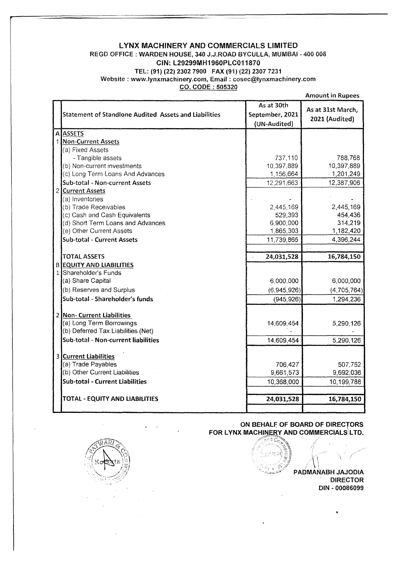## LYNX MACHINERY AND COMMERCIALS LIMITED REGO OFFICE : WARDEN HOUSE, 340 J.J.ROAO BYCULLA, MUMBAi - 400 008 CIN: l29299MH1960PLC011870 TEL: (91) (22) 2302 7900 FAX (91) (22) 2307 7231 Website: www.iynxmachinery.com, Email: cosec@lynxmachinery.com CO. CODE : 505320

Amount in Rupees

| Statement of Standlone Audited Assets and Liabilities          | As at 30th<br>September, 2021<br>(UN-Audited) | As at 31st March,<br>2021 (Audited) |
|----------------------------------------------------------------|-----------------------------------------------|-------------------------------------|
| <b>A ASSETS</b>                                                |                                               |                                     |
| 1 Non-Current Assets                                           |                                               |                                     |
| (a) Fixed Assets                                               |                                               |                                     |
| - Tangible assets                                              | 737,110                                       | 788,768                             |
| (b) Non-current investments                                    | 10,397,889                                    | 10,397,889                          |
| (c) Long Term Loans And Advances                               | 1,156,664                                     | 1,201,249                           |
| Sub-total - Non-current Assets                                 | 12,291,663                                    | 12,387,906                          |
| 2 Current Assets                                               |                                               |                                     |
| (a) Inventories                                                |                                               |                                     |
| (b) Trade Receivables                                          | 2,445,169                                     | 2,445,169                           |
| (c) Cash and Cash Equivalents                                  | 529,393                                       | 454,436                             |
| (d) Short Term Loans and Advances                              | 6,900,000                                     | 314,219                             |
| (e) Other Current Assets                                       | 1,865,303                                     | 1,182,420                           |
| Sub-total - Current Assets                                     | 11,739,865                                    | 4,396,244                           |
|                                                                |                                               |                                     |
| <b>TOTAL ASSETS</b>                                            | 24,031,528                                    | 16,784,150                          |
| <b>B EQUITY AND LIABILITIES</b>                                |                                               |                                     |
| 1 Shareholder's Funds                                          |                                               |                                     |
| (a) Share Capital                                              | 6,000,000                                     | 6,000,000                           |
| (b) Reserves and Surplus                                       | (6,945,926)                                   | (4,705,764)                         |
| Sub-total - Shareholder's funds                                | (945, 926)                                    | 1,294,236                           |
|                                                                |                                               |                                     |
| 2 Non- Current Liabilities                                     |                                               |                                     |
| (a) Long Term Borrowings<br>(b) Deferred Tax Liabilities (Net) | 14,609,454                                    | 5,290,126                           |
| Sub-total - Non-current liabilities                            |                                               |                                     |
|                                                                | 14,609,454                                    | 5,290,126                           |
| 3 Current Liabilities                                          |                                               |                                     |
| (a) Trade Payables                                             | 706,427                                       | 507,752                             |
| (b) Other Current Liabilities                                  | 9,661,573                                     | 9,692,036                           |
| <b>Sub-total - Current Liabilities</b>                         | 10,368,000                                    | 10,199,788                          |
|                                                                |                                               |                                     |
| <b>TOTAL - EQUITY AND LIABILITIES</b>                          | 24,031,528                                    | 16,784,150                          |
|                                                                |                                               |                                     |

ON BEHALF OF BOARD OF DIRECTORS FOR LYNX MACHINERY AND COMMERCIALS LTD.

 $\mathfrak{h}$  $\mathcal{L}$ 

PAOMANABH JAJODIA DIRECTOR DIN - 00086099

..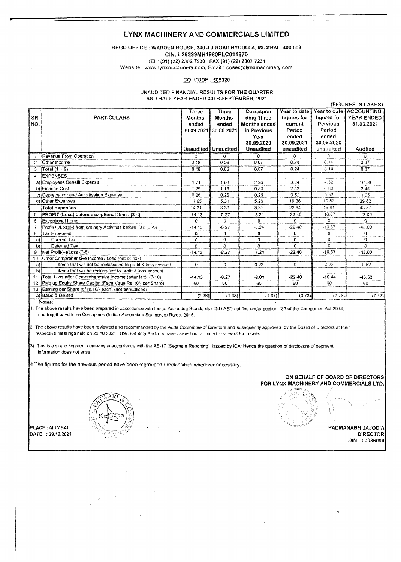#### **LYNX MACHINERY AND COMMERCIALS LIMITED**

#### REGO OFFICE : WARDEN HOUSE, 340 J.J.ROAD BYCULLA, MUMBAI - 400 008 CIN: L29299MH1960PLC011870 TEL: (91) {22) 2302 7900 FAX (91) (22) 2307 7231 Website: www.lynxmachinery.com, Email: cosec@lynxmachinery.com

#### CO. CODE ; 505320

#### UNAUDITED FINANCIAL RESULTS FOR THE QUARTER AND HALF YEAR ENDED 30TH SEPTEMBER, 2021

|                 |                                                              | Three         | <b>Three</b>          | Correspon    | Year to date |                 | Year to date ACCOUNTING |
|-----------------|--------------------------------------------------------------|---------------|-----------------------|--------------|--------------|-----------------|-------------------------|
| SR.             | <b>PARTICULARS</b>                                           | <b>Months</b> | <b>Months</b>         | ding Three   | figures for  | figures for     | <b>YEAR ENDED</b>       |
| NO.             |                                                              | ended         | ended                 | Months ended | current      | Pervious        | 31.03.2021              |
|                 |                                                              |               | 30.09.2021 30.06.2021 | in Previous  | Period       | Period          |                         |
|                 |                                                              |               |                       | Year         | ended        | ended           |                         |
|                 |                                                              |               |                       | 30.09.2020   | 30.09.2021   | 30.09.2020      |                         |
|                 |                                                              |               | Unaudited   Unaudited | Unaudited    | unaudited    | unaudited       | Audited                 |
|                 | Revenue From Operation                                       | 0             | 0.                    | $\Omega$     | 0            | 0               | 0                       |
| $\overline{2}$  | Other Income                                                 | 0.18          | 0.06                  | 0.07         | 0.24         | 0.14            | 0.87                    |
| 3               | $ Total (1 + 2) $                                            | 0.18          | 0.06                  | 0.07         | 0.24         | 0.14            | 0.87                    |
| 4               | <b>EXPENSES</b>                                              |               |                       |              |              |                 |                         |
|                 | a) Employees Benefit Expense                                 | 1.71          | 1.63                  | 2.26         | 3.34         | 4.62            | 10.58                   |
|                 | b) Finance Cost                                              | 1.29          | 1.13                  | 0.53         | 2.42         | C <sub>80</sub> | 2.44                    |
|                 | c) Depreciation and Amortisation Expense                     | 0.26          | 0.26                  | 0.26         | 0.52         | 0.52            | 1.03                    |
|                 | d) Other Expenses                                            | 11.05         | 5.31                  | 5.26         | 16.36        | 10.87           | 29.82                   |
|                 | <b>Total Expenses</b>                                        | 14.31         | 8.33                  | 8.31         | 22.64        | 16.81           | 43 87                   |
| 5               | PROFIT (Loss) before exceptional Items (3-4)                 | -14.13        | $-8.27$               | $-8.24$      | $-22.40$     | $-16.67$        | $-43.00$                |
| 6               | Exceptional Items                                            | Ő             | 0.                    | $\mathbf 0$  | 0            | $\sigma$        | $\Omega$                |
| $\overline{7}$  | Profit(+)/Loss(-) from ordinary Activities before Tax (5 -6) | $-14.13$      | $-8.27$               | $-8.24$      | $-22.40$     | $-16.67$        | $-43.00$                |
| 8               | <b>Tax Expenses</b>                                          | 0             | 0                     | 0            | 0            | 0               | O                       |
| a)              | Current Tax                                                  | 0             | 0                     | $\mathbf{0}$ | o            | 0               | 0                       |
| b)              | Deferred Tax                                                 | O.            | o                     | $\Omega$     | 0            | $\Omega$        | $\Omega$                |
| g               | Net Profit(+)/Loss (7-8)                                     | $-14.13$      | $-8.27$               | $-8.24$      | $-22.40$     | $-16.67$        | $-43.00$                |
| 10              | Other Comprehensive Income / Loss (net of tax)               |               |                       |              |              |                 |                         |
| a)              | Items that will not be reclassified to profit & loss account | $\mathbf{0}$  | 0                     | 0.23         | $\mathbf{O}$ | 0.23            | $-0.52$                 |
| b)              | Items that will be reclassified to profit & loss account     |               |                       |              |              |                 |                         |
| 11              | Total Loss after Comprehencsive Income (after tax) (9-10)    | $-14.13$      | $-8.27$               | $-8.01$      | $-22.40$     | $-16.44$        | $-43.52$                |
| 12 <sup>2</sup> | Paid up Equity Share Capital (Face Vaue Rs. 10/- per Share)  | 60            | 60                    | 60           | 60           | 60              | 60                      |
| 13              | Earning per Share (of rs. 10/- each) (not annualised)        |               |                       |              |              |                 |                         |
|                 | a) Basic & Diluted                                           | (2.36)        | (1.38)                | (1.37)       | (3.73)       | (2.78)          | (7.17)                  |
| Notes:          |                                                              |               |                       |              |              |                 |                         |

. The above results have been prepared in accordance with Indian Accouting Standards ("IND AS") notified under section 133 of the Companies Act 2013, read together with the Comapnies (Indian Accounting Standards) Rules. 2015.

2. The above results have been reviewed and recommended by the Audit Committee of Directors and susequently approved by the Board of Directors at their respective meetings held on 29.10.2021 The Statutory Auditors have earned out a limited review of the results.

3) This is a single segment company in accordance with the AS-17 (Segment Reporting) issued by ICAI Hence the question of disclosure of segment information does not arise

4.The figures for the previous period have been regrouped *I* reclassified wherever necessary.



ON BEHALF OF BOARD OF DIRECTORS FOR LYNX MACHINERY AND COMMERCIALS LTD.

DIRECTOR بيوم المستقدم المستقدم المستقدم المستقدم المستقدم المستقدم المستقدم المستقدم المستقدم المستقدم المستقدم المستقدم المستقدم المستقدم المستقدم المستقدم المستقدم المستقدم المستقدم المستقدم المستقدم المستقدم المستقدم DIN - 00086099

{FIGURES IN LAKHS)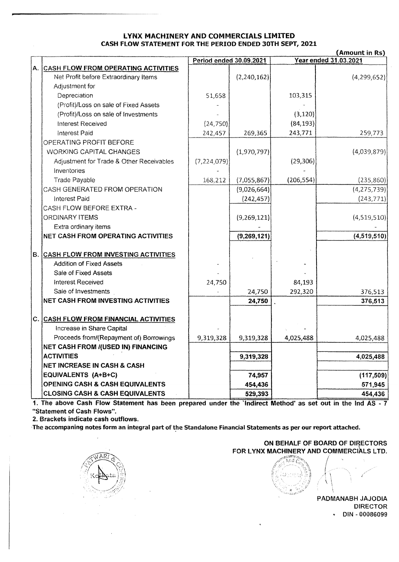## LYNX MACHINERY AND COMMERCIALS LIMITED CASH FLOW STATEMENT FOR THE PERIOD ENDED 30TH SEPT, 2021

|    | (Amount in Rs)                                          |                         |             |            |                              |
|----|---------------------------------------------------------|-------------------------|-------------|------------|------------------------------|
|    |                                                         | Period ended 30.09.2021 |             |            | <b>Year ended 31.03.2021</b> |
| A. | <b>CASH FLOW FROM OPERATING ACTIVITIES</b>              |                         |             |            |                              |
|    | Net Profit before Extraordinary Items<br>Adjustment for |                         | (2,240,162) |            | (4, 299, 652)                |
|    |                                                         |                         |             | 103,315    |                              |
|    | Depreciation                                            | 51,658                  |             |            |                              |
|    | (Profit)/Loss on sale of Fixed Assets                   |                         |             |            |                              |
|    | (Profit)/Loss on sale of Investments                    |                         |             | (3, 120)   |                              |
|    | <b>Interest Received</b>                                | (24, 750)               |             | (84, 193)  |                              |
|    | Interest Paid                                           | 242,457                 | 269,365     | 243,771    | 259,773                      |
|    | OPERATING PROFIT BEFORE                                 |                         |             |            |                              |
|    | <b>WORKING CAPITAL CHANGES</b>                          |                         | (1,970,797) |            | (4,039,879)                  |
|    | Adjustment for Trade & Other Receivables<br>Inventories | (7, 224, 079)           |             | (29, 306)  |                              |
|    | <b>Trade Payable</b>                                    | 168,212                 | (7,055,867) | (206, 554) | (235, 860)                   |
|    | CASH GENERATED FROM OPERATION                           |                         | (9,026,664) |            | (4, 275, 739)                |
|    | Interest Paid                                           |                         | (242, 457)  |            | (243, 771)                   |
|    | CASH FLOW BEFORE EXTRA -                                |                         |             |            |                              |
|    | <b>ORDINARY ITEMS</b>                                   |                         | (9,269,121) |            | (4,519,510)                  |
|    | Extra ordinary items                                    |                         |             |            |                              |
|    | NET CASH FROM OPERATING ACTIVITIES                      |                         | (9,269,121) |            | (4,519,510)                  |
| B. | <b>CASH FLOW FROM INVESTING ACTIVITIES</b>              |                         |             |            |                              |
|    | <b>Addition of Fixed Assets</b>                         |                         |             |            |                              |
|    | Sale of Fixed Assets                                    |                         |             |            |                              |
|    | <b>Interest Received</b>                                | 24,750                  |             | 84,193     |                              |
|    | Sale of Investments                                     |                         | 24,750      | 292,320    | 376,513                      |
|    | <b>NET CASH FROM INVESTING ACTIVITIES</b>               |                         | 24,750      |            | 376,513                      |
|    |                                                         |                         |             |            |                              |
| c. | <b>CASH FLOW FROM FINANCIAL ACTIVITIES</b>              |                         |             |            |                              |
|    | Increase in Share Capital                               |                         |             |            |                              |
|    | Proceeds from/(Repayment of) Borrowings                 | 9,319,328               | 9,319,328   | 4,025,488  | 4,025,488                    |
|    | NET CASH FROM I(USED IN) FINANCING                      |                         |             |            |                              |
|    | <b>ACTIVITIES</b>                                       |                         | 9,319,328   |            | 4,025,488                    |
|    | NET INCREASE IN CASH & CASH                             |                         |             |            |                              |
|    | EQUIVALENTS (A+B+C)                                     |                         | 74,957      |            | (117, 509)                   |
|    | <b>OPENING CASH &amp; CASH EQUIVALENTS</b>              |                         | 454,436     |            | 571,945                      |
|    | <b>CLOSING CASH &amp; CASH EQUIVALENTS</b>              |                         | 529,393     |            | 454,436                      |
|    | ana Paak Elain Cininganak k                             |                         |             |            |                              |

1. The above Cash Flow Statement has been prepared under the `Indirect Method' as set out in the Ind AS - 7 ''Statement of Cash Flows''.

2. Brackets indicate cash outflows.

The accompaning notes form an integral part of the Standalone Financial Statements as per our report attached.



ON BEHALF OF BOARD OF DIRECTORS FOR LYNX MACHINERY ANO COMMERCIALS LTD.

 $\left(\frac{1}{2}\right)$ ុំចេត្

PADMANABH JAJODIA DIRECTOR • DIN - 00086099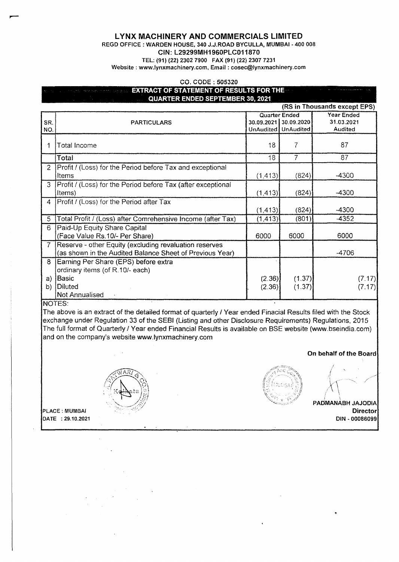## **LYNX MACHINERY AND COMMERCIALS LIMITED**

REGO OFFICE : WARDEN HOUSE, 340 J.J.ROAD BYCULLA, MUMBAI - 400 008

### CIN: L29299MH1960PLC011870

TEL: (91) (22) 2302 7900 FAX (91) (22) 2307 7231

Website : www.lynxmachinery.com, Email : cosec@lynxmachinery.com

#### CO. CODE: 505320

# **EXTRACT OF STATEMENT OF RESULTS FOR THE QUARTER ENDED SEPTEMBER 30, 2021**

|                |                                                              |          |                       | (RS in Thousands except EPS) |
|----------------|--------------------------------------------------------------|----------|-----------------------|------------------------------|
|                |                                                              |          | Quarter Ended         | <b>Year Ended</b>            |
| SR.            | <b>PARTICULARS</b>                                           |          | 30.09.2021 30.09.2020 | 31.03.2021                   |
| NO.            |                                                              |          | UnAudited UnAudited   | Audited                      |
|                | Total Income                                                 | 18       | 7                     | 87                           |
|                | Total                                                        | 18       | 7                     | 87                           |
| $\overline{2}$ | Profit / (Loss) for the Period before Tax and exceptional    |          |                       |                              |
|                | Items                                                        | (1, 413) | (824)                 | $-4300$                      |
| 3              | Profit / (Loss) for the Period before Tax (after exceptional |          |                       |                              |
|                | (tems)                                                       | (1, 413) | (824)                 | $-4300$                      |
| 4              | Profit / (Loss) for the Period after Tax                     |          |                       |                              |
|                |                                                              | (1, 413) | (824)                 | -4300                        |
| 5              | Total Profit / (Loss) after Comrehensive Income (after Tax)  | (1, 413) | (801)                 | $-4352$                      |
| 6              | Paid-Up Equity Share Capital                                 |          |                       |                              |
|                | (Face Value Rs.10/- Per Share)                               | 6000     | 6000                  | 6000                         |
| $\mathcal{T}$  | Reserve - other Equity (excluding revaluation reserves       |          |                       |                              |
|                | (as shown in the Audited Balance Sheet of Previous Year)     |          |                       | -4706                        |
| 8              | Earning Per Share (EPS) before extra                         |          |                       |                              |
|                | ordinary items (of R.10/- each)                              |          |                       |                              |
| a)             | Basic                                                        | (2.36)   | (1.37)                | (7.17)                       |
| b)             | Diluted                                                      | (2.36)   | (1.37)                | (7.17)                       |
|                | <b>Not Annualised</b>                                        |          |                       |                              |

### NOTES:

The above is an extract of the detailed format of quarterly I Year ended Finacial Results filed with the Stock exchange under Regulation 33 of the SEBI (Listing and other Disclosure Requirements) Regulations, 2015 The full format of Quarterly I Year ended Financial Results is available on BSE website (www.bseindia.com) and on the company's website www.lynxmachinery.com



### **On behalf of the Board**



 $\left(\frac{\sqrt{NAR}}{N}\right)^{2}$ 

PLACE : MUMBAI **Director**  DATE : 29.10.2021 DIN • 00086099